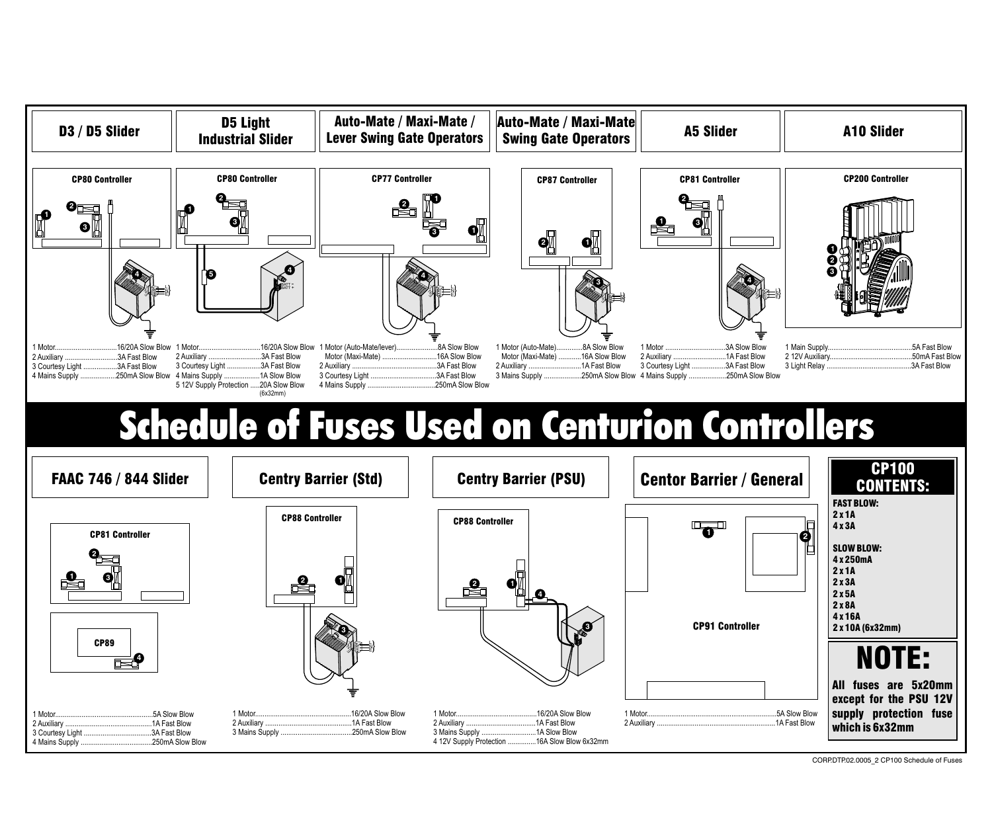

CORP.DTP.02.0005\_2 CP100 Schedule of Fuses